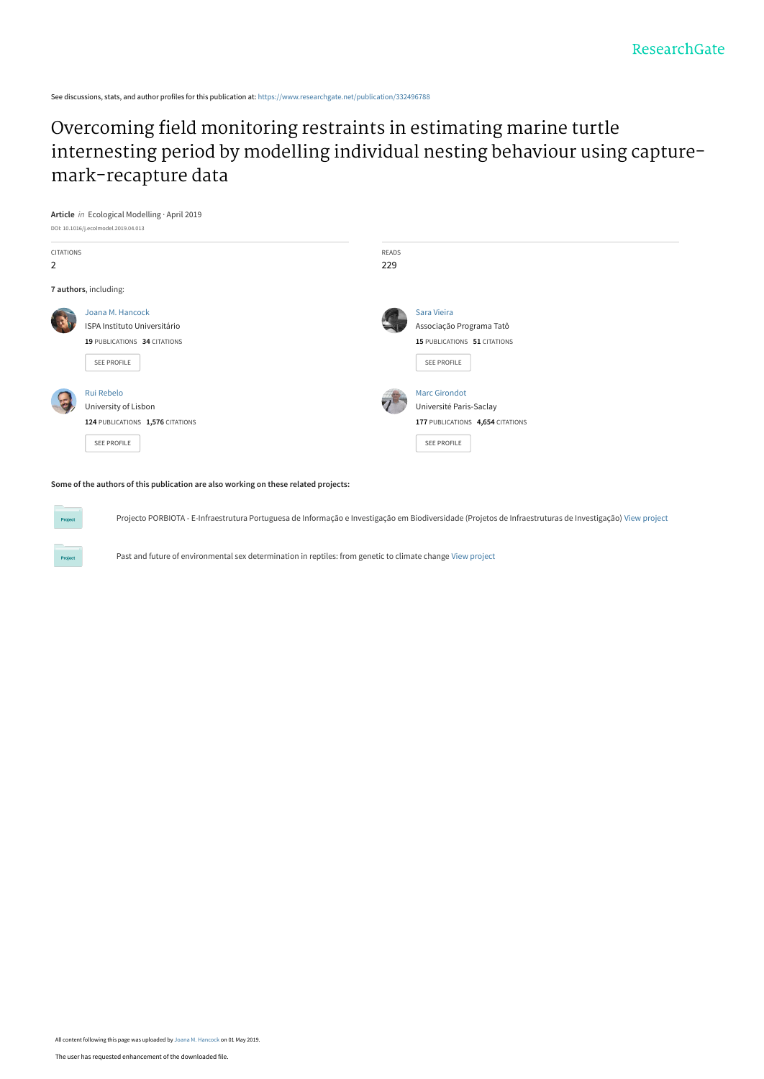See discussions, stats, and author profiles for this publication at: [https://www.researchgate.net/publication/332496788](https://www.researchgate.net/publication/332496788_Overcoming_field_monitoring_restraints_in_estimating_marine_turtle_internesting_period_by_modelling_individual_nesting_behaviour_using_capture-mark-recapture_data?enrichId=rgreq-11ada3542267e0e4d529dc1fd3d81ade-XXX&enrichSource=Y292ZXJQYWdlOzMzMjQ5Njc4ODtBUzo3NTM3ODM4NjkwMzA0MDFAMTU1NjcyNzQ4NzU2NA%3D%3D&el=1_x_2&_esc=publicationCoverPdf)

# Overcoming field monitoring restraints in estimating marine turtle [internesting period by modelling individual nesting behaviour using capture](https://www.researchgate.net/publication/332496788_Overcoming_field_monitoring_restraints_in_estimating_marine_turtle_internesting_period_by_modelling_individual_nesting_behaviour_using_capture-mark-recapture_data?enrichId=rgreq-11ada3542267e0e4d529dc1fd3d81ade-XXX&enrichSource=Y292ZXJQYWdlOzMzMjQ5Njc4ODtBUzo3NTM3ODM4NjkwMzA0MDFAMTU1NjcyNzQ4NzU2NA%3D%3D&el=1_x_3&_esc=publicationCoverPdf)mark-recapture data



# **Some of the authors of this publication are also working on these related projects:**

Project

Projecto PORBIOTA - E-Infraestrutura Portuguesa de Informação e Investigação em Biodiversidade (Projetos de Infraestruturas de Investigação) [View project](https://www.researchgate.net/project/Projecto-PORBIOTA-E-Infraestrutura-Portuguesa-de-Informacao-e-Investigacao-em-Biodiversidade-Projetos-de-Infraestruturas-de-Investigacao?enrichId=rgreq-11ada3542267e0e4d529dc1fd3d81ade-XXX&enrichSource=Y292ZXJQYWdlOzMzMjQ5Njc4ODtBUzo3NTM3ODM4NjkwMzA0MDFAMTU1NjcyNzQ4NzU2NA%3D%3D&el=1_x_9&_esc=publicationCoverPdf)

Past and future of environmental sex determination in reptiles: from genetic to climate change [View project](https://www.researchgate.net/project/Past-and-future-of-environmental-sex-determination-in-reptiles-from-genetic-to-climate-change?enrichId=rgreq-11ada3542267e0e4d529dc1fd3d81ade-XXX&enrichSource=Y292ZXJQYWdlOzMzMjQ5Njc4ODtBUzo3NTM3ODM4NjkwMzA0MDFAMTU1NjcyNzQ4NzU2NA%3D%3D&el=1_x_9&_esc=publicationCoverPdf)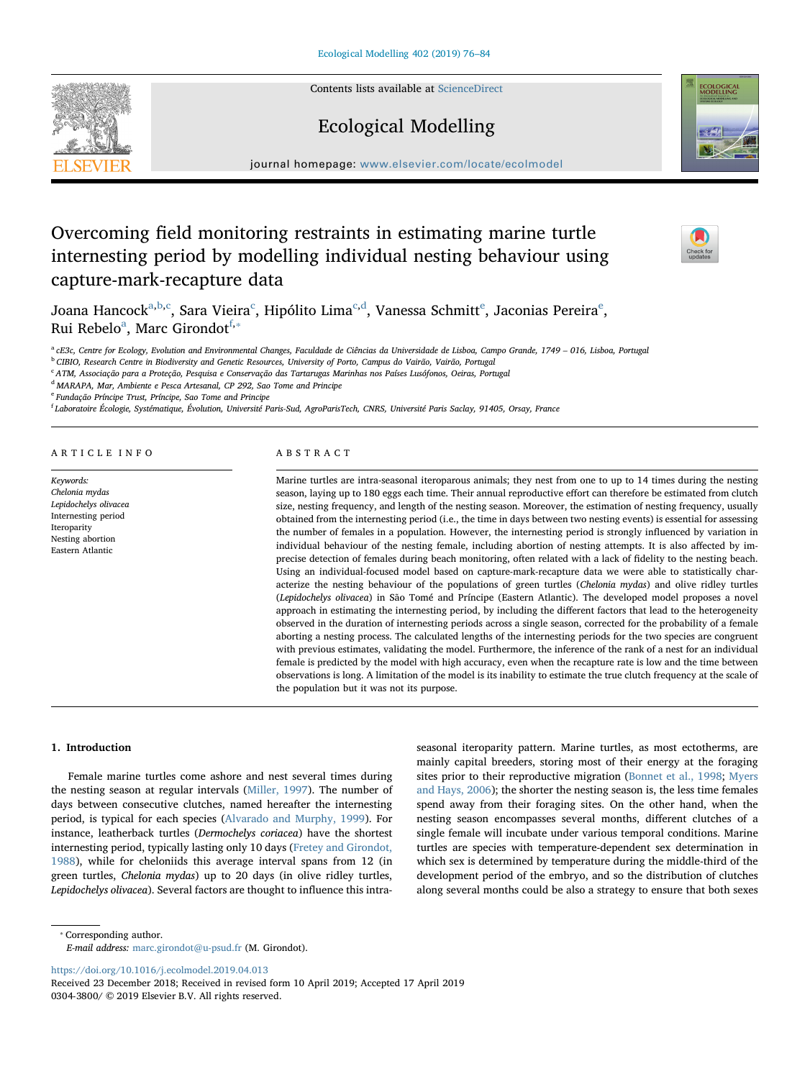Contents lists available at [ScienceDirect](http://www.sciencedirect.com/science/journal/03043800)

# Ecological Modelling

journal homepage: [www.elsevier.com/locate/ecolmodel](https://www.elsevier.com/locate/ecolmodel)

# Overcoming field monitoring restraints in estimating marine turtle internesting period by modelling individual nesting behaviour using capture-mark-recapture data

Jo[a](#page-1-0)na Han[c](#page-1-2)ock $^{\rm a,b,c}$  $^{\rm a,b,c}$  $^{\rm a,b,c}$ , Sara Vi[e](#page-1-4)ira $^{\rm c}$ , Hipólito Lima $^{\rm c,d}$  $^{\rm c,d}$  $^{\rm c,d}$ , Vanessa Schmitt $^{\rm e}$ , Jaconias Pereira $^{\rm e}$ , Rui Rebelo<sup>[a](#page-1-0)</sup>, Marc Girondot<sup>[f](#page-1-5),</sup>\*

<span id="page-1-0"></span><sup>a</sup> cE3c, Centre for Ecology, Evolution and Environmental Changes, Faculdade de Ciências da Universidade de Lisboa, Campo Grande, 1749 – 016, Lisboa, Portugal

<span id="page-1-1"></span><sup>b</sup> CIBIO, Research Centre in Biodiversity and Genetic Resources, University of Porto, Campus do Vairão, Vairão, Portugal

<span id="page-1-2"></span><sup>c</sup> ATM, Associação para a Proteção, Pesquisa e Conservação das Tartarugas Marinhas nos Países Lusófonos, Oeiras, Portugal

<span id="page-1-3"></span><sup>d</sup> MARAPA, Mar, Ambiente e Pesca Artesanal, CP 292, Sao Tome and Principe

<span id="page-1-4"></span><sup>e</sup> Fundação Príncipe Trust, Príncipe, Sao Tome and Principe

<span id="page-1-5"></span>f Laboratoire Écologie, Systématique, Évolution, Université Paris-Sud, AgroParisTech, CNRS, Université Paris Saclay, 91405, Orsay, France

## ARTICLE INFO

Keywords: Chelonia mydas Lepidochelys olivacea Internesting period Iteroparity Nesting abortion Eastern Atlantic

# ABSTRACT

Marine turtles are intra-seasonal iteroparous animals; they nest from one to up to 14 times during the nesting season, laying up to 180 eggs each time. Their annual reproductive effort can therefore be estimated from clutch size, nesting frequency, and length of the nesting season. Moreover, the estimation of nesting frequency, usually obtained from the internesting period (i.e., the time in days between two nesting events) is essential for assessing the number of females in a population. However, the internesting period is strongly influenced by variation in individual behaviour of the nesting female, including abortion of nesting attempts. It is also affected by imprecise detection of females during beach monitoring, often related with a lack of fidelity to the nesting beach. Using an individual-focused model based on capture-mark-recapture data we were able to statistically characterize the nesting behaviour of the populations of green turtles (Chelonia mydas) and olive ridley turtles (Lepidochelys olivacea) in São Tomé and Príncipe (Eastern Atlantic). The developed model proposes a novel approach in estimating the internesting period, by including the different factors that lead to the heterogeneity observed in the duration of internesting periods across a single season, corrected for the probability of a female aborting a nesting process. The calculated lengths of the internesting periods for the two species are congruent with previous estimates, validating the model. Furthermore, the inference of the rank of a nest for an individual female is predicted by the model with high accuracy, even when the recapture rate is low and the time between observations is long. A limitation of the model is its inability to estimate the true clutch frequency at the scale of the population but it was not its purpose.

### 1. Introduction

Female marine turtles come ashore and nest several times during the nesting season at regular intervals ([Miller, 1997](#page-9-0)). The number of days between consecutive clutches, named hereafter the internesting period, is typical for each species ([Alvarado and Murphy, 1999](#page-8-0)). For instance, leatherback turtles (Dermochelys coriacea) have the shortest internesting period, typically lasting only 10 days ([Fretey and Girondot,](#page-8-1) [1988\)](#page-8-1), while for cheloniids this average interval spans from 12 (in green turtles, Chelonia mydas) up to 20 days (in olive ridley turtles, Lepidochelys olivacea). Several factors are thought to influence this intraseasonal iteroparity pattern. Marine turtles, as most ectotherms, are mainly capital breeders, storing most of their energy at the foraging sites prior to their reproductive migration ([Bonnet et al., 1998](#page-8-2); [Myers](#page-9-1) [and Hays, 2006](#page-9-1)); the shorter the nesting season is, the less time females spend away from their foraging sites. On the other hand, when the nesting season encompasses several months, different clutches of a single female will incubate under various temporal conditions. Marine turtles are species with temperature-dependent sex determination in which sex is determined by temperature during the middle-third of the development period of the embryo, and so the distribution of clutches along several months could be also a strategy to ensure that both sexes

<span id="page-1-6"></span>⁎ Corresponding author.

E-mail address: [marc.girondot@u-psud.fr](mailto:marc.girondot@u-psud.fr) (M. Girondot).

<https://doi.org/10.1016/j.ecolmodel.2019.04.013>

Received 23 December 2018; Received in revised form 10 April 2019; Accepted 17 April 2019 0304-3800/ © 2019 Elsevier B.V. All rights reserved.





 $\frac{N}{2}$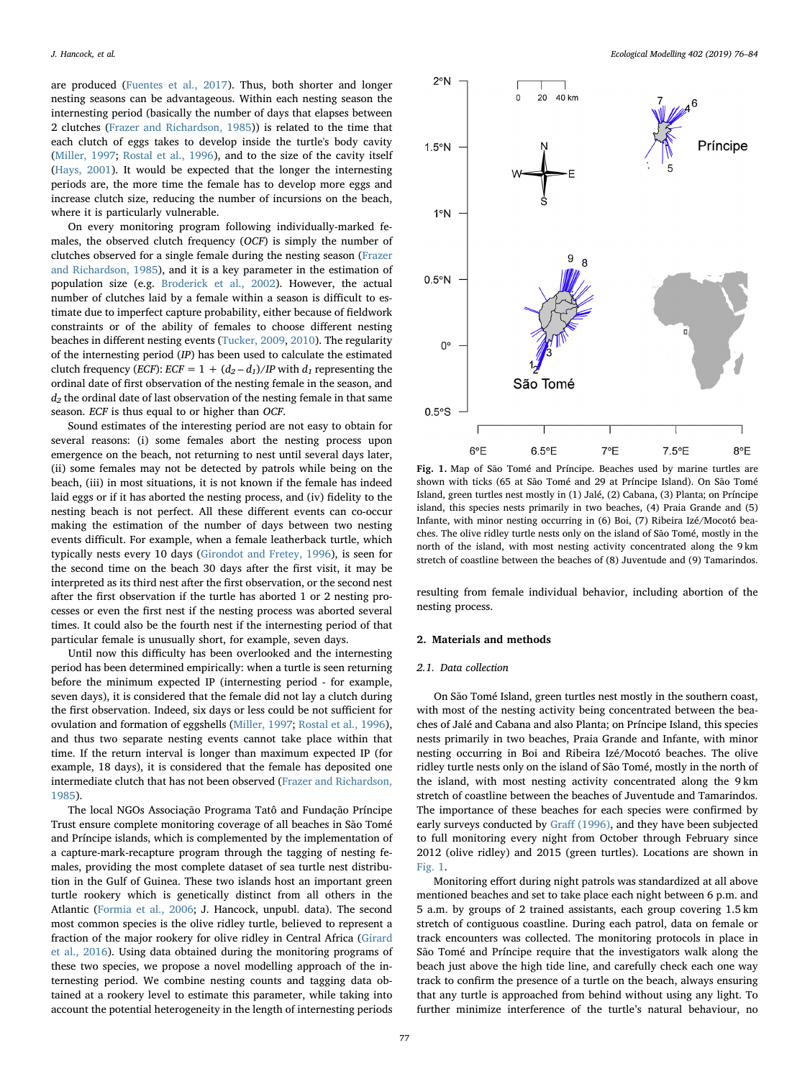are produced ([Fuentes et al., 2017](#page-8-3)). Thus, both shorter and longer nesting seasons can be advantageous. Within each nesting season the internesting period (basically the number of days that elapses between 2 clutches [\(Frazer and Richardson, 1985\)](#page-8-4)) is related to the time that each clutch of eggs takes to develop inside the turtle's body cavity ([Miller, 1997](#page-9-0); [Rostal et al., 1996](#page-9-2)), and to the size of the cavity itself ([Hays, 2001\)](#page-8-5). It would be expected that the longer the internesting periods are, the more time the female has to develop more eggs and increase clutch size, reducing the number of incursions on the beach, where it is particularly vulnerable.

On every monitoring program following individually-marked females, the observed clutch frequency (OCF) is simply the number of clutches observed for a single female during the nesting season [\(Frazer](#page-8-4) [and Richardson, 1985](#page-8-4)), and it is a key parameter in the estimation of population size (e.g. [Broderick et al., 2002\)](#page-8-6). However, the actual number of clutches laid by a female within a season is difficult to estimate due to imperfect capture probability, either because of fieldwork constraints or of the ability of females to choose different nesting beaches in different nesting events [\(Tucker, 2009,](#page-9-3) [2010\)](#page-9-4). The regularity of the internesting period (IP) has been used to calculate the estimated clutch frequency (*ECF*): *ECF* =  $1 + (d_2 - d_1)/IP$  with  $d_1$  representing the ordinal date of first observation of the nesting female in the season, and  $d_2$  the ordinal date of last observation of the nesting female in that same season. ECF is thus equal to or higher than OCF.

Sound estimates of the interesting period are not easy to obtain for several reasons: (i) some females abort the nesting process upon emergence on the beach, not returning to nest until several days later, (ii) some females may not be detected by patrols while being on the beach, (iii) in most situations, it is not known if the female has indeed laid eggs or if it has aborted the nesting process, and (iv) fidelity to the nesting beach is not perfect. All these different events can co-occur making the estimation of the number of days between two nesting events difficult. For example, when a female leatherback turtle, which typically nests every 10 days ([Girondot and Fretey, 1996](#page-8-7)), is seen for the second time on the beach 30 days after the first visit, it may be interpreted as its third nest after the first observation, or the second nest after the first observation if the turtle has aborted 1 or 2 nesting processes or even the first nest if the nesting process was aborted several times. It could also be the fourth nest if the internesting period of that particular female is unusually short, for example, seven days.

Until now this difficulty has been overlooked and the internesting period has been determined empirically: when a turtle is seen returning before the minimum expected IP (internesting period - for example, seven days), it is considered that the female did not lay a clutch during the first observation. Indeed, six days or less could be not sufficient for ovulation and formation of eggshells ([Miller, 1997](#page-9-0); [Rostal et al., 1996](#page-9-2)), and thus two separate nesting events cannot take place within that time. If the return interval is longer than maximum expected IP (for example, 18 days), it is considered that the female has deposited one intermediate clutch that has not been observed [\(Frazer and Richardson,](#page-8-4) [1985\)](#page-8-4).

The local NGOs Associação Programa Tatô and Fundação Príncipe Trust ensure complete monitoring coverage of all beaches in São Tomé and Príncipe islands, which is complemented by the implementation of a capture-mark-recapture program through the tagging of nesting females, providing the most complete dataset of sea turtle nest distribution in the Gulf of Guinea. These two islands host an important green turtle rookery which is genetically distinct from all others in the Atlantic ([Formia et al., 2006](#page-8-8); J. Hancock, unpubl. data). The second most common species is the olive ridley turtle, believed to represent a fraction of the major rookery for olive ridley in Central Africa ([Girard](#page-8-9) [et al., 2016](#page-8-9)). Using data obtained during the monitoring programs of these two species, we propose a novel modelling approach of the internesting period. We combine nesting counts and tagging data obtained at a rookery level to estimate this parameter, while taking into account the potential heterogeneity in the length of internesting periods

<span id="page-2-0"></span>

Fig. 1. Map of São Tomé and Príncipe. Beaches used by marine turtles are shown with ticks (65 at São Tomé and 29 at Príncipe Island). On São Tomé Island, green turtles nest mostly in (1) Jalé, (2) Cabana, (3) Planta; on Príncipe island, this species nests primarily in two beaches, (4) Praia Grande and (5) Infante, with minor nesting occurring in (6) Boi, (7) Ribeira Izé/Mocotó beaches. The olive ridley turtle nests only on the island of São Tomé, mostly in the north of the island, with most nesting activity concentrated along the 9 km stretch of coastline between the beaches of (8) Juventude and (9) Tamarindos.

resulting from female individual behavior, including abortion of the nesting process.

### 2. Materials and methods

### 2.1. Data collection

On São Tomé Island, green turtles nest mostly in the southern coast, with most of the nesting activity being concentrated between the beaches of Jalé and Cabana and also Planta; on Príncipe Island, this species nests primarily in two beaches, Praia Grande and Infante, with minor nesting occurring in Boi and Ribeira Izé/Mocotó beaches. The olive ridley turtle nests only on the island of São Tomé, mostly in the north of the island, with most nesting activity concentrated along the 9 km stretch of coastline between the beaches of Juventude and Tamarindos. The importance of these beaches for each species were confirmed by early surveys conducted by Graff [\(1996\),](#page-8-10) and they have been subjected to full monitoring every night from October through February since 2012 (olive ridley) and 2015 (green turtles). Locations are shown in [Fig.](#page-2-0) 1.

Monitoring effort during night patrols was standardized at all above mentioned beaches and set to take place each night between 6 p.m. and 5 a.m. by groups of 2 trained assistants, each group covering 1.5 km stretch of contiguous coastline. During each patrol, data on female or track encounters was collected. The monitoring protocols in place in São Tomé and Príncipe require that the investigators walk along the beach just above the high tide line, and carefully check each one way track to confirm the presence of a turtle on the beach, always ensuring that any turtle is approached from behind without using any light. To further minimize interference of the turtle's natural behaviour, no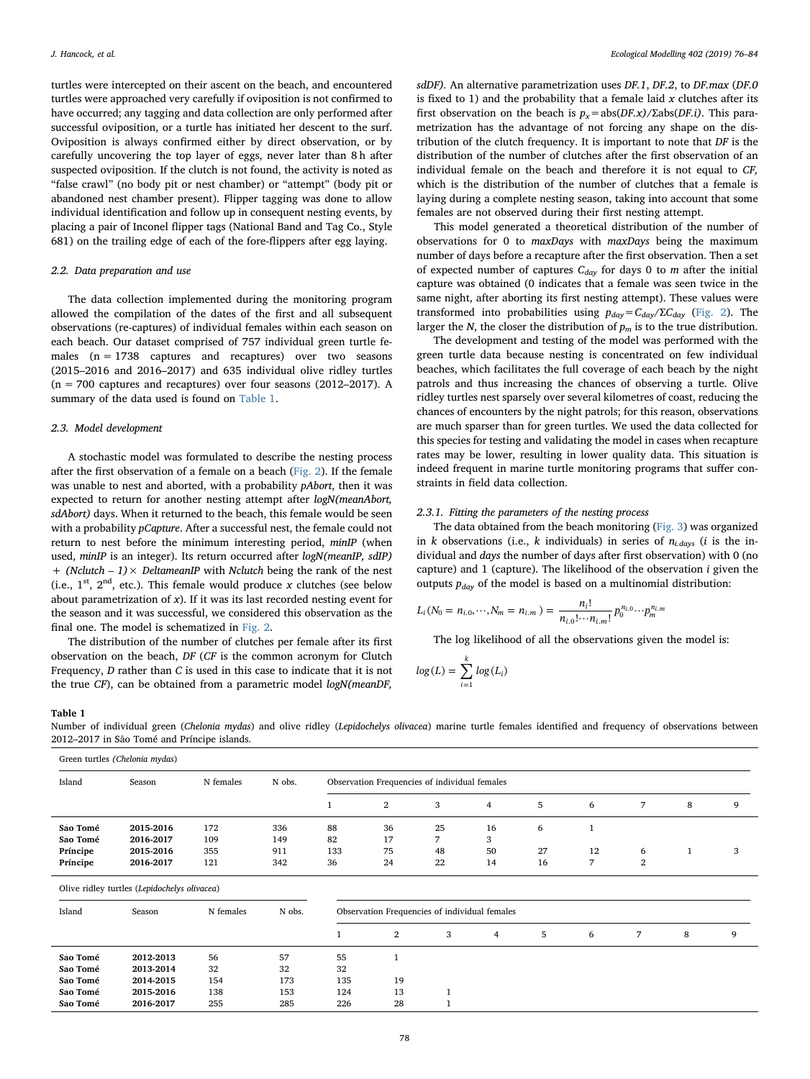turtles were intercepted on their ascent on the beach, and encountered turtles were approached very carefully if oviposition is not confirmed to have occurred; any tagging and data collection are only performed after successful oviposition, or a turtle has initiated her descent to the surf. Oviposition is always confirmed either by direct observation, or by carefully uncovering the top layer of eggs, never later than 8 h after suspected oviposition. If the clutch is not found, the activity is noted as "false crawl" (no body pit or nest chamber) or "attempt" (body pit or abandoned nest chamber present). Flipper tagging was done to allow individual identification and follow up in consequent nesting events, by placing a pair of Inconel flipper tags (National Band and Tag Co., Style 681) on the trailing edge of each of the fore-flippers after egg laying.

## 2.2. Data preparation and use

The data collection implemented during the monitoring program allowed the compilation of the dates of the first and all subsequent observations (re-captures) of individual females within each season on each beach. Our dataset comprised of 757 individual green turtle females  $(n = 1738$  captures and recaptures) over two seasons (2015–2016 and 2016–2017) and 635 individual olive ridley turtles  $(n = 700$  captures and recaptures) over four seasons  $(2012-2017)$ . A summary of the data used is found on [Table 1.](#page-3-0)

# 2.3. Model development

A stochastic model was formulated to describe the nesting process after the first observation of a female on a beach ([Fig. 2](#page-4-0)). If the female was unable to nest and aborted, with a probability pAbort, then it was expected to return for another nesting attempt after logN(meanAbort, sdAbort) days. When it returned to the beach, this female would be seen with a probability pCapture. After a successful nest, the female could not return to nest before the minimum interesting period, minIP (when used, minIP is an integer). Its return occurred after logN(meanIP, sdIP) + (Nclutch  $-1$ ) × DeltameanIP with Nclutch being the rank of the nest (i.e.,  $1^{st}$ ,  $2^{nd}$ , etc.). This female would produce x clutches (see below about parametrization of  $x$ ). If it was its last recorded nesting event for the season and it was successful, we considered this observation as the final one. The model is schematized in [Fig. 2](#page-4-0).

The distribution of the number of clutches per female after its first observation on the beach, DF (CF is the common acronym for Clutch Frequency, D rather than C is used in this case to indicate that it is not the true CF), can be obtained from a parametric model logN(meanDF,

sdDF). An alternative parametrization uses DF.1, DF.2, to DF.max (DF.0 is fixed to 1) and the probability that a female laid  $x$  clutches after its first observation on the beach is  $p_x = abs(DF.x)/Zabs(DF.i)$ . This parametrization has the advantage of not forcing any shape on the distribution of the clutch frequency. It is important to note that DF is the distribution of the number of clutches after the first observation of an individual female on the beach and therefore it is not equal to CF, which is the distribution of the number of clutches that a female is laying during a complete nesting season, taking into account that some females are not observed during their first nesting attempt.

This model generated a theoretical distribution of the number of observations for 0 to maxDays with maxDays being the maximum number of days before a recapture after the first observation. Then a set of expected number of captures  $C_{day}$  for days 0 to m after the initial capture was obtained (0 indicates that a female was seen twice in the same night, after aborting its first nesting attempt). These values were transformed into probabilities using  $p_{day} = C_{day}/\Sigma C_{day}$  ([Fig. 2](#page-4-0)). The larger the N, the closer the distribution of  $p_m$  is to the true distribution.

The development and testing of the model was performed with the green turtle data because nesting is concentrated on few individual beaches, which facilitates the full coverage of each beach by the night patrols and thus increasing the chances of observing a turtle. Olive ridley turtles nest sparsely over several kilometres of coast, reducing the chances of encounters by the night patrols; for this reason, observations are much sparser than for green turtles. We used the data collected for this species for testing and validating the model in cases when recapture rates may be lower, resulting in lower quality data. This situation is indeed frequent in marine turtle monitoring programs that suffer constraints in field data collection.

# 2.3.1. Fitting the parameters of the nesting process

The data obtained from the beach monitoring [\(Fig. 3\)](#page-5-0) was organized in k observations (i.e., k individuals) in series of  $n_{i,days}$  (i is the individual and days the number of days after first observation) with 0 (no capture) and 1 (capture). The likelihood of the observation i given the outputs  $p_{day}$  of the model is based on a multinomial distribution:

$$
L_i(N_0 = n_{i.0}, \cdots, N_m = n_{i.m.}) = \frac{n_i!}{n_{i.0}! \cdots n_{i.m.}!} p_0^{n_{i.0}} \cdots p_m^{n_{i.m.}}
$$

The log likelihood of all the observations given the model is:

$$
log(L) = \sum_{i=1}^{k} log(L_i)
$$

<span id="page-3-0"></span>Table 1

Number of individual green (Chelonia mydas) and olive ridley (Lepidochelys olivacea) marine turtle females identified and frequency of observations between 2012–2017 in São Tomé and Príncipe islands.

| Island   | Season    | N females | N obs. | Observation Frequencies of individual females |    |    |    |    |    |        |   |   |  |
|----------|-----------|-----------|--------|-----------------------------------------------|----|----|----|----|----|--------|---|---|--|
|          |           |           |        |                                               | 2  | 3  | 4  | 5  | 6  |        | 8 | Q |  |
| São Tomé | 2015-2016 | 172       | 336    | 88                                            | 36 | 25 | 16 | 6  |    |        |   |   |  |
| São Tomé | 2016-2017 | 109       | 149    | 82                                            | 17 |    | 3  |    |    |        |   |   |  |
| Príncipe | 2015-2016 | 355       | 911    | 133                                           | 75 | 48 | 50 | 27 | 12 | 6      |   |   |  |
| Príncipe | 2016-2017 | 121       | 342    | 36                                            | 24 | 22 | 14 | 16 | ⇁  | ີ<br>∠ |   |   |  |

Olive ridley turtles (Lepidochelys olivacea)

| Island   | Season    | N females | N obs. | Observation Frequencies of individual females |                |   |   |   |   |  |   |   |  |
|----------|-----------|-----------|--------|-----------------------------------------------|----------------|---|---|---|---|--|---|---|--|
|          |           |           |        |                                               | $\overline{2}$ | 3 | 4 | 5 | 6 |  | 8 | 9 |  |
| São Tomé | 2012-2013 | 56        | 57     | 55                                            |                |   |   |   |   |  |   |   |  |
| Sao Tomé | 2013-2014 | 32        | 32     | 32                                            |                |   |   |   |   |  |   |   |  |
| São Tomé | 2014-2015 | 154       | 173    | 135                                           | 19             |   |   |   |   |  |   |   |  |
| São Tomé | 2015-2016 | 138       | 153    | 124                                           | 13             |   |   |   |   |  |   |   |  |
| São Tomé | 2016-2017 | 255       | 285    | 226                                           | 28             |   |   |   |   |  |   |   |  |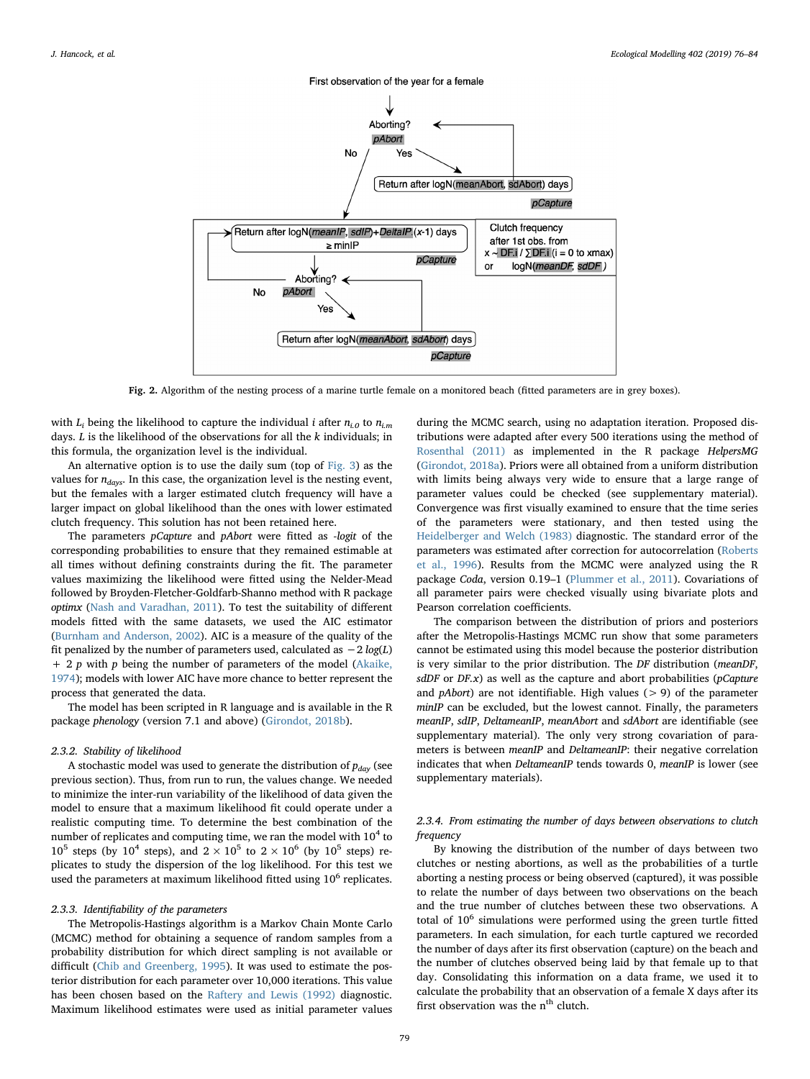<span id="page-4-0"></span>

Fig. 2. Algorithm of the nesting process of a marine turtle female on a monitored beach (fitted parameters are in grey boxes).

with  $L_i$  being the likelihood to capture the individual *i* after  $n_{i,0}$  to  $n_{i,m}$ days.  $L$  is the likelihood of the observations for all the  $k$  individuals; in this formula, the organization level is the individual.

An alternative option is to use the daily sum (top of [Fig. 3\)](#page-5-0) as the values for  $n_{days}$ . In this case, the organization level is the nesting event, but the females with a larger estimated clutch frequency will have a larger impact on global likelihood than the ones with lower estimated clutch frequency. This solution has not been retained here.

The parameters pCapture and pAbort were fitted as -logit of the corresponding probabilities to ensure that they remained estimable at all times without defining constraints during the fit. The parameter values maximizing the likelihood were fitted using the Nelder-Mead followed by Broyden-Fletcher-Goldfarb-Shanno method with R package optimx [\(Nash and Varadhan, 2011](#page-9-5)). To test the suitability of different models fitted with the same datasets, we used the AIC estimator ([Burnham and Anderson, 2002](#page-8-11)). AIC is a measure of the quality of the fit penalized by the number of parameters used, calculated as  $-2 log(L)$  $+ 2 p$  with  $p$  being the number of parameters of the model [\(Akaike,](#page-8-12) [1974\)](#page-8-12); models with lower AIC have more chance to better represent the process that generated the data.

The model has been scripted in R language and is available in the R package phenology (version 7.1 and above) [\(Girondot, 2018b](#page-8-13)).

# 2.3.2. Stability of likelihood

A stochastic model was used to generate the distribution of  $p_{day}$  (see previous section). Thus, from run to run, the values change. We needed to minimize the inter-run variability of the likelihood of data given the model to ensure that a maximum likelihood fit could operate under a realistic computing time. To determine the best combination of the number of replicates and computing time, we ran the model with  $10<sup>4</sup>$  to  $10^5$  steps (by  $10^4$  steps), and  $2 \times 10^5$  to  $2 \times 10^6$  (by  $10^5$  steps) replicates to study the dispersion of the log likelihood. For this test we used the parameters at maximum likelihood fitted using  $10<sup>6</sup>$  replicates.

# 2.3.3. Identifiability of the parameters

The Metropolis-Hastings algorithm is a Markov Chain Monte Carlo (MCMC) method for obtaining a sequence of random samples from a probability distribution for which direct sampling is not available or difficult [\(Chib and Greenberg, 1995](#page-8-14)). It was used to estimate the posterior distribution for each parameter over 10,000 iterations. This value has been chosen based on the [Raftery and Lewis \(1992\)](#page-9-6) diagnostic. Maximum likelihood estimates were used as initial parameter values

during the MCMC search, using no adaptation iteration. Proposed distributions were adapted after every 500 iterations using the method of [Rosenthal \(2011\)](#page-9-7) as implemented in the R package HelpersMG ([Girondot, 2018a](#page-8-15)). Priors were all obtained from a uniform distribution with limits being always very wide to ensure that a large range of parameter values could be checked (see supplementary material). Convergence was first visually examined to ensure that the time series of the parameters were stationary, and then tested using the [Heidelberger and Welch \(1983\)](#page-8-16) diagnostic. The standard error of the parameters was estimated after correction for autocorrelation ([Roberts](#page-9-8) [et al., 1996](#page-9-8)). Results from the MCMC were analyzed using the R package Coda, version 0.19–1 [\(Plummer et al., 2011](#page-9-9)). Covariations of all parameter pairs were checked visually using bivariate plots and Pearson correlation coefficients.

The comparison between the distribution of priors and posteriors after the Metropolis-Hastings MCMC run show that some parameters cannot be estimated using this model because the posterior distribution is very similar to the prior distribution. The DF distribution (meanDF, sdDF or DF.x) as well as the capture and abort probabilities (pCapture and  $p$ Abort) are not identifiable. High values ( $> 9$ ) of the parameter minIP can be excluded, but the lowest cannot. Finally, the parameters meanIP, sdIP, DeltameanIP, meanAbort and sdAbort are identifiable (see supplementary material). The only very strong covariation of parameters is between meanIP and DeltameanIP: their negative correlation indicates that when DeltameanIP tends towards 0, meanIP is lower (see supplementary materials).

# 2.3.4. From estimating the number of days between observations to clutch frequency

By knowing the distribution of the number of days between two clutches or nesting abortions, as well as the probabilities of a turtle aborting a nesting process or being observed (captured), it was possible to relate the number of days between two observations on the beach and the true number of clutches between these two observations. A total of  $10<sup>6</sup>$  simulations were performed using the green turtle fitted parameters. In each simulation, for each turtle captured we recorded the number of days after its first observation (capture) on the beach and the number of clutches observed being laid by that female up to that day. Consolidating this information on a data frame, we used it to calculate the probability that an observation of a female X days after its first observation was the  $\rm n^{th}$  clutch.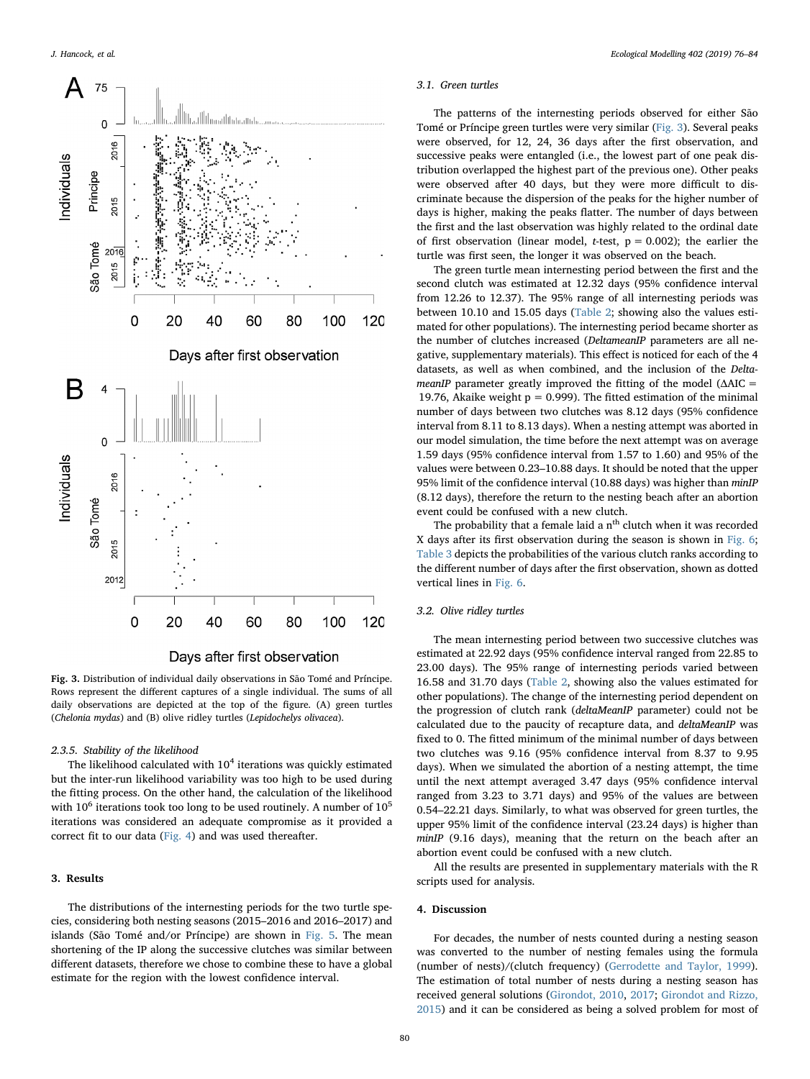<span id="page-5-0"></span>



Fig. 3. Distribution of individual daily observations in São Tomé and Príncipe. Rows represent the different captures of a single individual. The sums of all daily observations are depicted at the top of the figure. (A) green turtles (Chelonia mydas) and (B) olive ridley turtles (Lepidochelys olivacea).

#### 2.3.5. Stability of the likelihood

The likelihood calculated with  $10<sup>4</sup>$  iterations was quickly estimated but the inter-run likelihood variability was too high to be used during the fitting process. On the other hand, the calculation of the likelihood with  $10^6$  iterations took too long to be used routinely. A number of  $10^5$ iterations was considered an adequate compromise as it provided a correct fit to our data ([Fig. 4\)](#page-6-0) and was used thereafter.

# 3. Results

The distributions of the internesting periods for the two turtle species, considering both nesting seasons (2015–2016 and 2016–2017) and islands (São Tomé and/or Príncipe) are shown in [Fig. 5](#page-6-1). The mean shortening of the IP along the successive clutches was similar between different datasets, therefore we chose to combine these to have a global estimate for the region with the lowest confidence interval.

#### 3.1. Green turtles

The patterns of the internesting periods observed for either São Tomé or Príncipe green turtles were very similar ([Fig. 3](#page-5-0)). Several peaks were observed, for 12, 24, 36 days after the first observation, and successive peaks were entangled (i.e., the lowest part of one peak distribution overlapped the highest part of the previous one). Other peaks were observed after 40 days, but they were more difficult to discriminate because the dispersion of the peaks for the higher number of days is higher, making the peaks flatter. The number of days between the first and the last observation was highly related to the ordinal date of first observation (linear model, *t*-test,  $p = 0.002$ ); the earlier the turtle was first seen, the longer it was observed on the beach.

The green turtle mean internesting period between the first and the second clutch was estimated at 12.32 days (95% confidence interval from 12.26 to 12.37). The 95% range of all internesting periods was between 10.10 and 15.05 days ([Table 2;](#page-7-0) showing also the values estimated for other populations). The internesting period became shorter as the number of clutches increased (DeltameanIP parameters are all negative, supplementary materials). This effect is noticed for each of the 4 datasets, as well as when combined, and the inclusion of the DeltameanIP parameter greatly improved the fitting of the model  $(\Delta AIC =$ 19.76, Akaike weight  $p = 0.999$ . The fitted estimation of the minimal number of days between two clutches was 8.12 days (95% confidence interval from 8.11 to 8.13 days). When a nesting attempt was aborted in our model simulation, the time before the next attempt was on average 1.59 days (95% confidence interval from 1.57 to 1.60) and 95% of the values were between 0.23–10.88 days. It should be noted that the upper 95% limit of the confidence interval (10.88 days) was higher than minIP (8.12 days), therefore the return to the nesting beach after an abortion event could be confused with a new clutch.

The probability that a female laid a  $n<sup>th</sup>$  clutch when it was recorded X days after its first observation during the season is shown in [Fig. 6](#page-7-1); [Table 3](#page-7-2) depicts the probabilities of the various clutch ranks according to the different number of days after the first observation, shown as dotted vertical lines in [Fig. 6.](#page-7-1)

# 3.2. Olive ridley turtles

The mean internesting period between two successive clutches was estimated at 22.92 days (95% confidence interval ranged from 22.85 to 23.00 days). The 95% range of internesting periods varied between 16.58 and 31.70 days [\(Table 2](#page-7-0), showing also the values estimated for other populations). The change of the internesting period dependent on the progression of clutch rank (deltaMeanIP parameter) could not be calculated due to the paucity of recapture data, and deltaMeanIP was fixed to 0. The fitted minimum of the minimal number of days between two clutches was 9.16 (95% confidence interval from 8.37 to 9.95 days). When we simulated the abortion of a nesting attempt, the time until the next attempt averaged 3.47 days (95% confidence interval ranged from 3.23 to 3.71 days) and 95% of the values are between 0.54–22.21 days. Similarly, to what was observed for green turtles, the upper 95% limit of the confidence interval (23.24 days) is higher than minIP (9.16 days), meaning that the return on the beach after an abortion event could be confused with a new clutch.

All the results are presented in supplementary materials with the R scripts used for analysis.

# 4. Discussion

For decades, the number of nests counted during a nesting season was converted to the number of nesting females using the formula (number of nests)/(clutch frequency) ([Gerrodette and Taylor, 1999](#page-8-17)). The estimation of total number of nests during a nesting season has received general solutions ([Girondot, 2010,](#page-8-18) [2017;](#page-8-19) [Girondot and Rizzo,](#page-8-20) [2015\)](#page-8-20) and it can be considered as being a solved problem for most of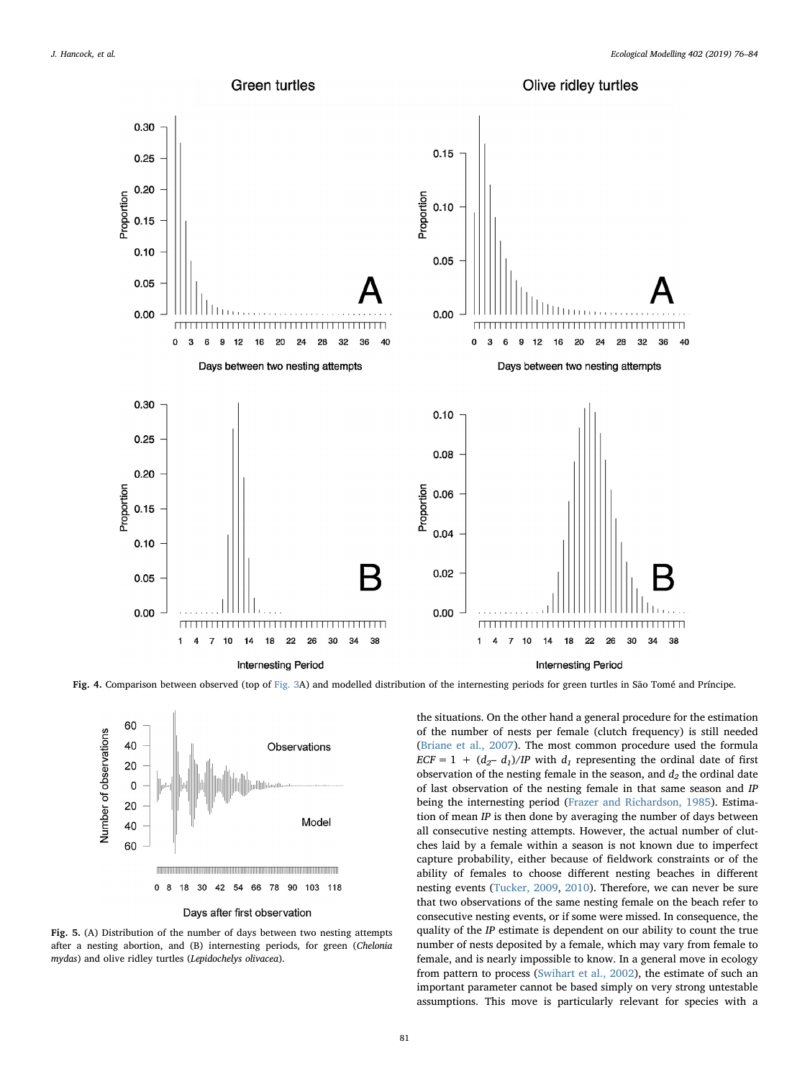<span id="page-6-0"></span>

<span id="page-6-1"></span>Fig. 4. Comparison between observed (top of [Fig. 3](#page-5-0)A) and modelled distribution of the internesting periods for green turtles in São Tomé and Príncipe.



Fig. 5. (A) Distribution of the number of days between two nesting attempts after a nesting abortion, and (B) internesting periods, for green (Chelonia mydas) and olive ridley turtles (Lepidochelys olivacea).

the situations. On the other hand a general procedure for the estimation of the number of nests per female (clutch frequency) is still needed ([Briane et al., 2007\)](#page-8-21). The most common procedure used the formula  $ECF = 1 + (d<sub>2</sub>- d<sub>1</sub>)/IP$  with  $d<sub>1</sub>$  representing the ordinal date of first observation of the nesting female in the season, and  $d_2$  the ordinal date of last observation of the nesting female in that same season and IP being the internesting period [\(Frazer and Richardson, 1985\)](#page-8-4). Estimation of mean  $IP$  is then done by averaging the number of days between all consecutive nesting attempts. However, the actual number of clutches laid by a female within a season is not known due to imperfect capture probability, either because of fieldwork constraints or of the ability of females to choose different nesting beaches in different nesting events [\(Tucker, 2009,](#page-9-3) [2010\)](#page-9-4). Therefore, we can never be sure that two observations of the same nesting female on the beach refer to consecutive nesting events, or if some were missed. In consequence, the quality of the IP estimate is dependent on our ability to count the true number of nests deposited by a female, which may vary from female to female, and is nearly impossible to know. In a general move in ecology from pattern to process ([Swihart et al., 2002\)](#page-9-10), the estimate of such an important parameter cannot be based simply on very strong untestable assumptions. This move is particularly relevant for species with a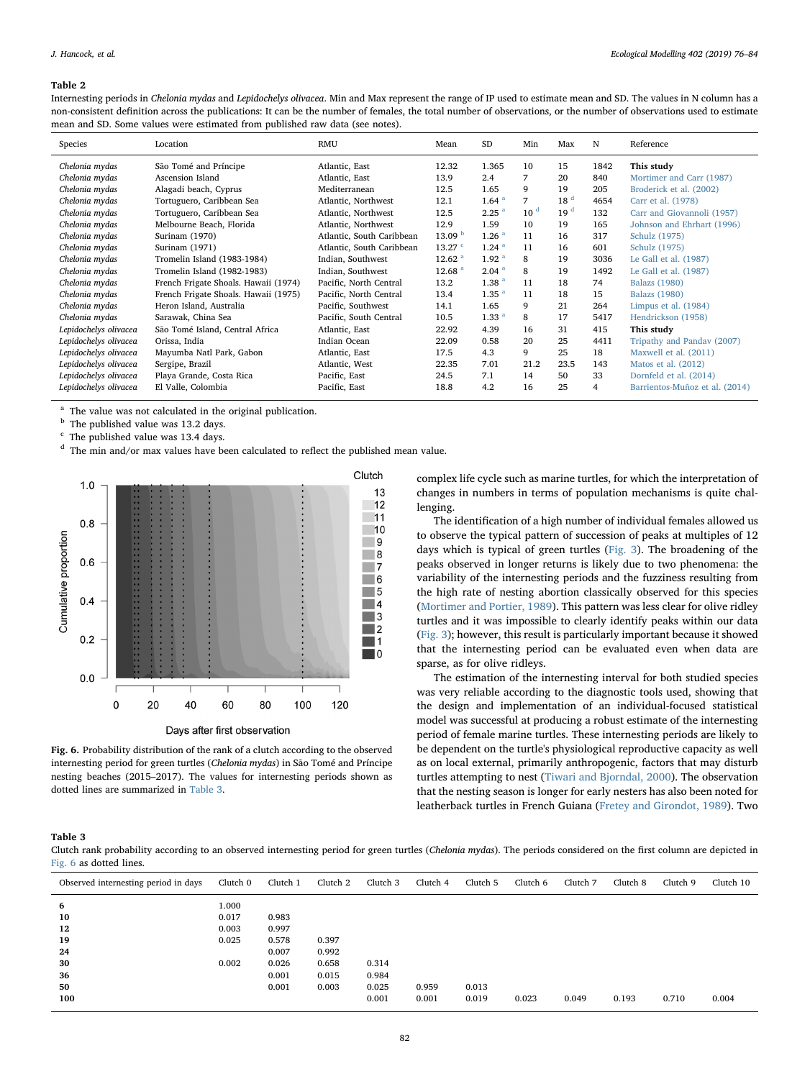#### <span id="page-7-0"></span>Table 2

Internesting periods in Chelonia mydas and Lepidochelys olivacea. Min and Max represent the range of IP used to estimate mean and SD. The values in N column has a non-consistent definition across the publications: It can be the number of females, the total number of observations, or the number of observations used to estimate mean and SD. Some values were estimated from published raw data (see notes).

| Species               | Location                             | <b>RMU</b>                | Mean               | SD                | Min             | Max             | N    | Reference                      |
|-----------------------|--------------------------------------|---------------------------|--------------------|-------------------|-----------------|-----------------|------|--------------------------------|
| Chelonia mydas        | São Tomé and Príncipe                | Atlantic, East            | 12.32              | 1.365             | 10              | 15              | 1842 | This study                     |
| Chelonia mydas        | Ascension Island                     | Atlantic, East            | 13.9               | 2.4               | 7               | 20              | 840  | Mortimer and Carr (1987)       |
| Chelonia mydas        | Alagadi beach, Cyprus                | Mediterranean             | 12.5               | 1.65              | 9               | 19              | 205  | Broderick et al. (2002)        |
| Chelonia mydas        | Tortuguero, Caribbean Sea            | Atlantic, Northwest       | 12.1               | 1.64 <sup>a</sup> | 7               | 18 <sup>d</sup> | 4654 | Carr et al. (1978)             |
| Chelonia mydas        | Tortuguero, Caribbean Sea            | Atlantic, Northwest       | 12.5               | 2.25 <sup>a</sup> | 10 <sup>d</sup> | 19 <sup>d</sup> | 132  | Carr and Giovannoli (1957)     |
| Chelonia mydas        | Melbourne Beach, Florida             | Atlantic, Northwest       | 12.9               | 1.59              | 10              | 19              | 165  | Johnson and Ehrhart (1996)     |
| Chelonia mydas        | Surinam (1970)                       | Atlantic, South Caribbean | 13.09 <sup>b</sup> | 1.26 <sup>a</sup> | 11              | 16              | 317  | Schulz (1975)                  |
| Chelonia mydas        | Surinam (1971)                       | Atlantic, South Caribbean | $13.27$ $\degree$  | 1.24 <sup>a</sup> | 11              | 16              | 601  | Schulz (1975)                  |
| Chelonia mydas        | Tromelin Island (1983-1984)          | Indian, Southwest         | 12.62 <sup>a</sup> | 1.92 <sup>a</sup> | 8               | 19              | 3036 | Le Gall et al. (1987)          |
| Chelonia mydas        | Tromelin Island (1982-1983)          | Indian, Southwest         | 12.68 <sup>a</sup> | 2.04 <sup>a</sup> | 8               | 19              | 1492 | Le Gall et al. (1987)          |
| Chelonia mydas        | French Frigate Shoals. Hawaii (1974) | Pacific, North Central    | 13.2               | 1.38 <sup>a</sup> | 11              | 18              | 74   | <b>Balazs</b> (1980)           |
| Chelonia mydas        | French Frigate Shoals. Hawaii (1975) | Pacific, North Central    | 13.4               | 1.35 <sup>a</sup> | 11              | 18              | 15   | <b>Balazs</b> (1980)           |
| Chelonia mydas        | Heron Island, Australia              | Pacific, Southwest        | 14.1               | 1.65              | 9               | 21              | 264  | Limpus et al. $(1984)$         |
| Chelonia mydas        | Sarawak, China Sea                   | Pacific, South Central    | 10.5               | 1.33 <sup>a</sup> | 8               | 17              | 5417 | Hendrickson (1958)             |
| Lepidochelys olivacea | São Tomé Island, Central Africa      | Atlantic, East            | 22.92              | 4.39              | 16              | 31              | 415  | This study                     |
| Lepidochelys olivacea | Orissa, India                        | Indian Ocean              | 22.09              | 0.58              | 20              | 25              | 4411 | Tripathy and Panday (2007)     |
| Lepidochelys olivacea | Mayumba Natl Park, Gabon             | Atlantic, East            | 17.5               | 4.3               | 9               | 25              | 18   | Maxwell et al. (2011)          |
| Lepidochelys olivacea | Sergipe, Brazil                      | Atlantic, West            | 22.35              | 7.01              | 21.2            | 23.5            | 143  | Matos et al. (2012)            |
| Lepidochelys olivacea | Playa Grande, Costa Rica             | Pacific, East             | 24.5               | 7.1               | 14              | 50              | 33   | Dornfeld et al. (2014)         |
| Lepidochelys olivacea | El Valle, Colombia                   | Pacific, East             | 18.8               | 4.2               | 16              | 25              | 4    | Barrientos-Muñoz et al. (2014) |

<span id="page-7-3"></span>The value was not calculated in the original publication.

<span id="page-7-5"></span><sup>b</sup> The published value was 13.2 days.

<span id="page-7-6"></span><sup>c</sup> The published value was 13.4 days.

<span id="page-7-4"></span><sup>d</sup> The min and/or max values have been calculated to reflect the published mean value.

<span id="page-7-1"></span>

Fig. 6. Probability distribution of the rank of a clutch according to the observed internesting period for green turtles (Chelonia mydas) in São Tomé and Príncipe nesting beaches (2015–2017). The values for internesting periods shown as dotted lines are summarized in [Table 3.](#page-7-2)

complex life cycle such as marine turtles, for which the interpretation of changes in numbers in terms of population mechanisms is quite challenging.

The identification of a high number of individual females allowed us to observe the typical pattern of succession of peaks at multiples of 12 days which is typical of green turtles ([Fig. 3\)](#page-5-0). The broadening of the peaks observed in longer returns is likely due to two phenomena: the variability of the internesting periods and the fuzziness resulting from the high rate of nesting abortion classically observed for this species ([Mortimer and Portier, 1989](#page-9-11)). This pattern was less clear for olive ridley turtles and it was impossible to clearly identify peaks within our data ([Fig. 3](#page-5-0)); however, this result is particularly important because it showed that the internesting period can be evaluated even when data are sparse, as for olive ridleys.

The estimation of the internesting interval for both studied species was very reliable according to the diagnostic tools used, showing that the design and implementation of an individual-focused statistical model was successful at producing a robust estimate of the internesting period of female marine turtles. These internesting periods are likely to be dependent on the turtle's physiological reproductive capacity as well as on local external, primarily anthropogenic, factors that may disturb turtles attempting to nest ([Tiwari and Bjorndal, 2000\)](#page-9-12). The observation that the nesting season is longer for early nesters has also been noted for leatherback turtles in French Guiana ([Fretey and Girondot, 1989\)](#page-8-22). Two

<span id="page-7-2"></span>Table 3

Clutch rank probability according to an observed internesting period for green turtles (Chelonia mydas). The periods considered on the first column are depicted in [Fig. 6](#page-7-1) as dotted lines.

| Observed internesting period in days | Clutch 0 | Clutch 1 | Clutch 2 | Clutch 3 | Clutch 4 | Clutch 5 | Clutch 6 | Clutch 7 | Clutch 8 | Clutch 9 | Clutch 10 |
|--------------------------------------|----------|----------|----------|----------|----------|----------|----------|----------|----------|----------|-----------|
| 6                                    | 1.000    |          |          |          |          |          |          |          |          |          |           |
| 10                                   | 0.017    | 0.983    |          |          |          |          |          |          |          |          |           |
| 12                                   | 0.003    | 0.997    |          |          |          |          |          |          |          |          |           |
| 19                                   | 0.025    | 0.578    | 0.397    |          |          |          |          |          |          |          |           |
| 24                                   |          | 0.007    | 0.992    |          |          |          |          |          |          |          |           |
| 30                                   | 0.002    | 0.026    | 0.658    | 0.314    |          |          |          |          |          |          |           |
| 36                                   |          | 0.001    | 0.015    | 0.984    |          |          |          |          |          |          |           |
| 50                                   |          | 0.001    | 0.003    | 0.025    | 0.959    | 0.013    |          |          |          |          |           |
| 100                                  |          |          |          | 0.001    | 0.001    | 0.019    | 0.023    | 0.049    | 0.193    | 0.710    | 0.004     |
|                                      |          |          |          |          |          |          |          |          |          |          |           |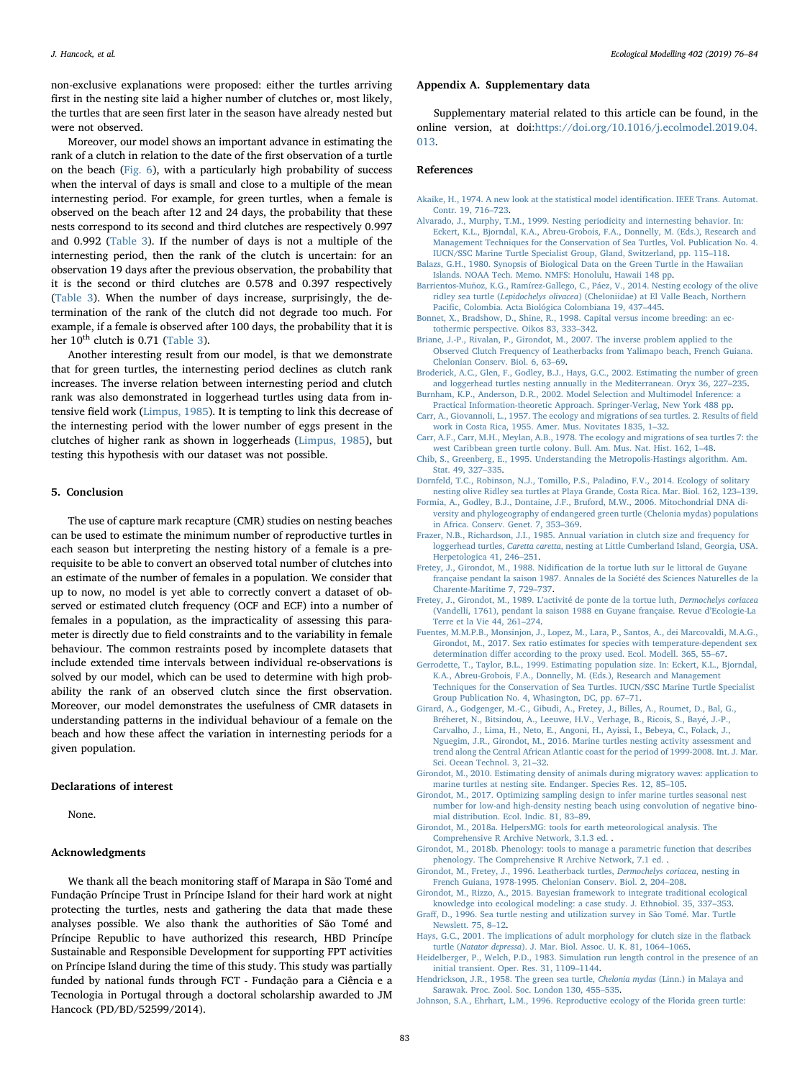non-exclusive explanations were proposed: either the turtles arriving first in the nesting site laid a higher number of clutches or, most likely, the turtles that are seen first later in the season have already nested but were not observed.

Moreover, our model shows an important advance in estimating the rank of a clutch in relation to the date of the first observation of a turtle on the beach [\(Fig. 6](#page-7-1)), with a particularly high probability of success when the interval of days is small and close to a multiple of the mean internesting period. For example, for green turtles, when a female is observed on the beach after 12 and 24 days, the probability that these nests correspond to its second and third clutches are respectively 0.997 and 0.992 ([Table 3\)](#page-7-2). If the number of days is not a multiple of the internesting period, then the rank of the clutch is uncertain: for an observation 19 days after the previous observation, the probability that it is the second or third clutches are 0.578 and 0.397 respectively ([Table 3\)](#page-7-2). When the number of days increase, surprisingly, the determination of the rank of the clutch did not degrade too much. For example, if a female is observed after 100 days, the probability that it is her  $10^{th}$  clutch is 0.71 ([Table 3](#page-7-2)).

Another interesting result from our model, is that we demonstrate that for green turtles, the internesting period declines as clutch rank increases. The inverse relation between internesting period and clutch rank was also demonstrated in loggerhead turtles using data from intensive field work ([Limpus, 1985](#page-9-20)). It is tempting to link this decrease of the internesting period with the lower number of eggs present in the clutches of higher rank as shown in loggerheads ([Limpus, 1985\)](#page-9-20), but testing this hypothesis with our dataset was not possible.

# 5. Conclusion

The use of capture mark recapture (CMR) studies on nesting beaches can be used to estimate the minimum number of reproductive turtles in each season but interpreting the nesting history of a female is a prerequisite to be able to convert an observed total number of clutches into an estimate of the number of females in a population. We consider that up to now, no model is yet able to correctly convert a dataset of observed or estimated clutch frequency (OCF and ECF) into a number of females in a population, as the impracticality of assessing this parameter is directly due to field constraints and to the variability in female behaviour. The common restraints posed by incomplete datasets that include extended time intervals between individual re-observations is solved by our model, which can be used to determine with high probability the rank of an observed clutch since the first observation. Moreover, our model demonstrates the usefulness of CMR datasets in understanding patterns in the individual behaviour of a female on the beach and how these affect the variation in internesting periods for a given population.

# Declarations of interest

None.

# Acknowledgments

We thank all the beach monitoring staff of Marapa in São Tomé and Fundação Príncipe Trust in Príncipe Island for their hard work at night protecting the turtles, nests and gathering the data that made these analyses possible. We also thank the authorities of São Tomé and Príncipe Republic to have authorized this research, HBD Princípe Sustainable and Responsible Development for supporting FPT activities on Príncipe Island during the time of this study. This study was partially funded by national funds through FCT - Fundação para a Ciência e a Tecnologia in Portugal through a doctoral scholarship awarded to JM Hancock (PD/BD/52599/2014).

### Appendix A. Supplementary data

Supplementary material related to this article can be found, in the online version, at doi:[https://doi.org/10.1016/j.ecolmodel.2019.04.](https://doi.org/10.1016/j.ecolmodel.2019.04.013) [013](https://doi.org/10.1016/j.ecolmodel.2019.04.013).

#### References

- <span id="page-8-12"></span>[Akaike, H., 1974. A new look at the statistical model identi](http://refhub.elsevier.com/S0304-3800(19)30158-9/sbref0005)fication. IEEE Trans. Automat. [Contr. 19, 716](http://refhub.elsevier.com/S0304-3800(19)30158-9/sbref0005)–723.
- <span id="page-8-0"></span>[Alvarado, J., Murphy, T.M., 1999. Nesting periodicity and internesting behavior. In:](http://refhub.elsevier.com/S0304-3800(19)30158-9/sbref0010) [Eckert, K.L., Bjorndal, K.A., Abreu-Grobois, F.A., Donnelly, M. \(Eds.\), Research and](http://refhub.elsevier.com/S0304-3800(19)30158-9/sbref0010) [Management Techniques for the Conservation of Sea Turtles, Vol. Publication No. 4.](http://refhub.elsevier.com/S0304-3800(19)30158-9/sbref0010) [IUCN/SSC Marine Turtle Specialist Group, Gland, Switzerland, pp. 115](http://refhub.elsevier.com/S0304-3800(19)30158-9/sbref0010)–118.
- <span id="page-8-26"></span>[Balazs, G.H., 1980. Synopsis of Biological Data on the Green Turtle in the Hawaiian](http://refhub.elsevier.com/S0304-3800(19)30158-9/sbref0015) [Islands. NOAA Tech. Memo. NMFS: Honolulu, Hawaii 148 pp](http://refhub.elsevier.com/S0304-3800(19)30158-9/sbref0015).
- <span id="page-8-29"></span>[Barrientos-Muñoz, K.G., Ramírez-Gallego, C., Páez, V., 2014. Nesting ecology of the olive](http://refhub.elsevier.com/S0304-3800(19)30158-9/sbref0020) ridley sea turtle (Lepidochelys olivacea[\) \(Cheloniidae\) at El Valle Beach, Northern](http://refhub.elsevier.com/S0304-3800(19)30158-9/sbref0020) Pacifi[c, Colombia. Acta Biológica Colombiana 19, 437](http://refhub.elsevier.com/S0304-3800(19)30158-9/sbref0020)–445.
- <span id="page-8-2"></span>[Bonnet, X., Bradshow, D., Shine, R., 1998. Capital versus income breeding: an ec](http://refhub.elsevier.com/S0304-3800(19)30158-9/sbref0025)[tothermic perspective. Oikos 83, 333](http://refhub.elsevier.com/S0304-3800(19)30158-9/sbref0025)–342.
- <span id="page-8-21"></span>[Briane, J.-P., Rivalan, P., Girondot, M., 2007. The inverse problem applied to the](http://refhub.elsevier.com/S0304-3800(19)30158-9/sbref0030) [Observed Clutch Frequency of Leatherbacks from Yalimapo beach, French Guiana.](http://refhub.elsevier.com/S0304-3800(19)30158-9/sbref0030) [Chelonian Conserv. Biol. 6, 63](http://refhub.elsevier.com/S0304-3800(19)30158-9/sbref0030)–69.
- <span id="page-8-6"></span>[Broderick, A.C., Glen, F., Godley, B.J., Hays, G.C., 2002. Estimating the number of green](http://refhub.elsevier.com/S0304-3800(19)30158-9/sbref0035) [and loggerhead turtles nesting annually in the Mediterranean. Oryx 36, 227](http://refhub.elsevier.com/S0304-3800(19)30158-9/sbref0035)–235.
- <span id="page-8-11"></span>[Burnham, K.P., Anderson, D.R., 2002. Model Selection and Multimodel Inference: a](http://refhub.elsevier.com/S0304-3800(19)30158-9/sbref0040) [Practical Information-theoretic Approach. Springer-Verlag, New York 488 pp.](http://refhub.elsevier.com/S0304-3800(19)30158-9/sbref0040)
- <span id="page-8-24"></span>[Carr, A., Giovannoli, L., 1957. The ecology and migrations of sea turtles. 2. Results of](http://refhub.elsevier.com/S0304-3800(19)30158-9/sbref0045) field [work in Costa Rica, 1955. Amer. Mus. Novitates 1835, 1](http://refhub.elsevier.com/S0304-3800(19)30158-9/sbref0045)–32.
- <span id="page-8-23"></span>[Carr, A.F., Carr, M.H., Meylan, A.B., 1978. The ecology and migrations of sea turtles 7: the](http://refhub.elsevier.com/S0304-3800(19)30158-9/sbref0050) [west Caribbean green turtle colony. Bull. Am. Mus. Nat. Hist. 162, 1](http://refhub.elsevier.com/S0304-3800(19)30158-9/sbref0050)–48.
- <span id="page-8-14"></span>[Chib, S., Greenberg, E., 1995. Understanding the Metropolis-Hastings algorithm. Am.](http://refhub.elsevier.com/S0304-3800(19)30158-9/sbref0055) [Stat. 49, 327](http://refhub.elsevier.com/S0304-3800(19)30158-9/sbref0055)–335.
- <span id="page-8-28"></span>[Dornfeld, T.C., Robinson, N.J., Tomillo, P.S., Paladino, F.V., 2014. Ecology of solitary](http://refhub.elsevier.com/S0304-3800(19)30158-9/sbref0060) [nesting olive Ridley sea turtles at Playa Grande, Costa Rica. Mar. Biol. 162, 123](http://refhub.elsevier.com/S0304-3800(19)30158-9/sbref0060)–139.
- <span id="page-8-8"></span>[Formia, A., Godley, B.J., Dontaine, J.F., Bruford, M.W., 2006. Mitochondrial DNA di](http://refhub.elsevier.com/S0304-3800(19)30158-9/sbref0065)[versity and phylogeography of endangered green turtle \(Chelonia mydas\) populations](http://refhub.elsevier.com/S0304-3800(19)30158-9/sbref0065) [in Africa. Conserv. Genet. 7, 353](http://refhub.elsevier.com/S0304-3800(19)30158-9/sbref0065)–369.
- <span id="page-8-4"></span>[Frazer, N.B., Richardson, J.I., 1985. Annual variation in clutch size and frequency for](http://refhub.elsevier.com/S0304-3800(19)30158-9/sbref0070) loggerhead turtles, Caretta caretta[, nesting at Little Cumberland Island, Georgia, USA.](http://refhub.elsevier.com/S0304-3800(19)30158-9/sbref0070) [Herpetologica 41, 246](http://refhub.elsevier.com/S0304-3800(19)30158-9/sbref0070)–251.
- <span id="page-8-1"></span>Fretey, J., Girondot, M., 1988. Nidifi[cation de la tortue luth sur le littoral de Guyane](http://refhub.elsevier.com/S0304-3800(19)30158-9/sbref0075) [française pendant la saison 1987. Annales de la Société des Sciences Naturelles de la](http://refhub.elsevier.com/S0304-3800(19)30158-9/sbref0075) [Charente-Maritime 7, 729](http://refhub.elsevier.com/S0304-3800(19)30158-9/sbref0075)–737.
- <span id="page-8-22"></span>Fretey, J., Girondot, M., 1989. L'[activité de ponte de la tortue luth,](http://refhub.elsevier.com/S0304-3800(19)30158-9/sbref0080) Dermochelys coriacea [\(Vandelli, 1761\), pendant la saison 1988 en Guyane française. Revue d](http://refhub.elsevier.com/S0304-3800(19)30158-9/sbref0080)'Ecologie-La [Terre et la Vie 44, 261](http://refhub.elsevier.com/S0304-3800(19)30158-9/sbref0080)–274.
- <span id="page-8-3"></span>[Fuentes, M.M.P.B., Monsinjon, J., Lopez, M., Lara, P., Santos, A., dei Marcovaldi, M.A.G.,](http://refhub.elsevier.com/S0304-3800(19)30158-9/sbref0085) [Girondot, M., 2017. Sex ratio estimates for species with temperature-dependent sex](http://refhub.elsevier.com/S0304-3800(19)30158-9/sbref0085) determination diff[er according to the proxy used. Ecol. Modell. 365, 55](http://refhub.elsevier.com/S0304-3800(19)30158-9/sbref0085)–67.
- <span id="page-8-17"></span>[Gerrodette, T., Taylor, B.L., 1999. Estimating population size. In: Eckert, K.L., Bjorndal,](http://refhub.elsevier.com/S0304-3800(19)30158-9/sbref0090) [K.A., Abreu-Grobois, F.A., Donnelly, M. \(Eds.\), Research and Management](http://refhub.elsevier.com/S0304-3800(19)30158-9/sbref0090) [Techniques for the Conservation of Sea Turtles. IUCN/SSC Marine Turtle Specialist](http://refhub.elsevier.com/S0304-3800(19)30158-9/sbref0090) [Group Publication No. 4, Whasington, DC, pp. 67](http://refhub.elsevier.com/S0304-3800(19)30158-9/sbref0090)–71.
- <span id="page-8-9"></span>[Girard, A., Godgenger, M.-C., Gibudi, A., Fretey, J., Billes, A., Roumet, D., Bal, G.,](http://refhub.elsevier.com/S0304-3800(19)30158-9/sbref0095) [Bréheret, N., Bitsindou, A., Leeuwe, H.V., Verhage, B., Ricois, S., Bayé, J.-P.,](http://refhub.elsevier.com/S0304-3800(19)30158-9/sbref0095) [Carvalho, J., Lima, H., Neto, E., Angoni, H., Ayissi, I., Bebeya, C., Folack, J.,](http://refhub.elsevier.com/S0304-3800(19)30158-9/sbref0095) [Nguegim, J.R., Girondot, M., 2016. Marine turtles nesting activity assessment and](http://refhub.elsevier.com/S0304-3800(19)30158-9/sbref0095) [trend along the Central African Atlantic coast for the period of 1999-2008. Int. J. Mar.](http://refhub.elsevier.com/S0304-3800(19)30158-9/sbref0095) [Sci. Ocean Technol. 3, 21](http://refhub.elsevier.com/S0304-3800(19)30158-9/sbref0095)–32.
- <span id="page-8-18"></span>[Girondot, M., 2010. Estimating density of animals during migratory waves: application to](http://refhub.elsevier.com/S0304-3800(19)30158-9/sbref0100) [marine turtles at nesting site. Endanger. Species Res. 12, 85](http://refhub.elsevier.com/S0304-3800(19)30158-9/sbref0100)–105.
- <span id="page-8-19"></span>[Girondot, M., 2017. Optimizing sampling design to infer marine turtles seasonal nest](http://refhub.elsevier.com/S0304-3800(19)30158-9/sbref0105) [number for low-and high-density nesting beach using convolution of negative bino](http://refhub.elsevier.com/S0304-3800(19)30158-9/sbref0105)[mial distribution. Ecol. Indic. 81, 83](http://refhub.elsevier.com/S0304-3800(19)30158-9/sbref0105)–89.
- <span id="page-8-15"></span>[Girondot, M., 2018a. HelpersMG: tools for earth meteorological analysis. The](http://refhub.elsevier.com/S0304-3800(19)30158-9/sbref0110) [Comprehensive R Archive Network, 3.1.3 ed.](http://refhub.elsevier.com/S0304-3800(19)30158-9/sbref0110) .
- <span id="page-8-13"></span>[Girondot, M., 2018b. Phenology: tools to manage a parametric function that describes](http://refhub.elsevier.com/S0304-3800(19)30158-9/sbref0115) [phenology. The Comprehensive R Archive Network, 7.1 ed.](http://refhub.elsevier.com/S0304-3800(19)30158-9/sbref0115) .
- <span id="page-8-7"></span>[Girondot, M., Fretey, J., 1996. Leatherback turtles,](http://refhub.elsevier.com/S0304-3800(19)30158-9/sbref0120) Dermochelys coriacea, nesting in [French Guiana, 1978-1995. Chelonian Conserv. Biol. 2, 204](http://refhub.elsevier.com/S0304-3800(19)30158-9/sbref0120)–208.
- <span id="page-8-20"></span>[Girondot, M., Rizzo, A., 2015. Bayesian framework to integrate traditional ecological](http://refhub.elsevier.com/S0304-3800(19)30158-9/sbref0125) [knowledge into ecological modeling: a case study. J. Ethnobiol. 35, 337](http://refhub.elsevier.com/S0304-3800(19)30158-9/sbref0125)–353.
- <span id="page-8-10"></span>Graff[, D., 1996. Sea turtle nesting and utilization survey in São Tomé. Mar. Turtle](http://refhub.elsevier.com/S0304-3800(19)30158-9/sbref0130) [Newslett. 75, 8](http://refhub.elsevier.com/S0304-3800(19)30158-9/sbref0130)–12.
- <span id="page-8-5"></span>[Hays, G.C., 2001. The implications of adult morphology for clutch size in the](http://refhub.elsevier.com/S0304-3800(19)30158-9/sbref0135) flatback turtle (Natator depressa[\). J. Mar. Biol. Assoc. U. K. 81, 1064](http://refhub.elsevier.com/S0304-3800(19)30158-9/sbref0135)–1065.
- <span id="page-8-16"></span>[Heidelberger, P., Welch, P.D., 1983. Simulation run length control in the presence of an](http://refhub.elsevier.com/S0304-3800(19)30158-9/sbref0140) [initial transient. Oper. Res. 31, 1109](http://refhub.elsevier.com/S0304-3800(19)30158-9/sbref0140)–1144.
- <span id="page-8-27"></span>[Hendrickson, J.R., 1958. The green sea turtle,](http://refhub.elsevier.com/S0304-3800(19)30158-9/sbref0145) Chelonia mydas (Linn.) in Malaya and [Sarawak. Proc. Zool. Soc. London 130, 455](http://refhub.elsevier.com/S0304-3800(19)30158-9/sbref0145)–535.
- <span id="page-8-25"></span>[Johnson, S.A., Ehrhart, L.M., 1996. Reproductive ecology of the Florida green turtle:](http://refhub.elsevier.com/S0304-3800(19)30158-9/sbref0150)